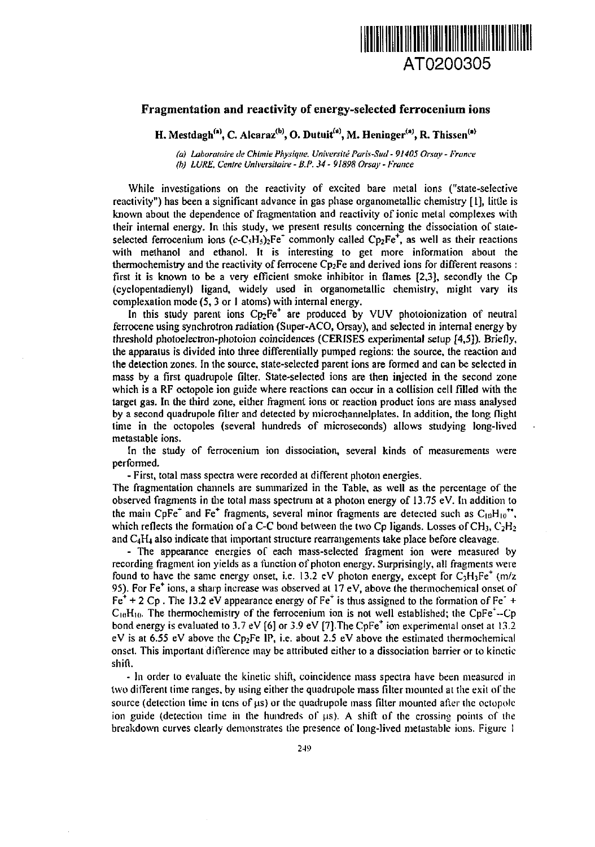

## **Fragmentation and reactivity of energy-selected ferrocenium ions**

**H. Mestdagh'"<sup>1</sup> , C. AIcaraz(b) , O. Dutuit'"', M. Heninger\*"', R. Thissen"<sup>1</sup>**

*(a) Labortrtoire tie Chimie Physique. Univemte Paris-Sud - 91405 Orsay - France (b) LURE, Centre Universitaire - B.P. 34 - 91898 Orsay - France* 

While investigations on the reactivity of excited bare metal ions ("state-selective reactivity") has been a significant advance in gas phase organometallic chemistry [1], little is known about the dependence of fragmentation and reactivity of ionic metal complexes with their internal energy. In this study, we present results concerning the dissociation of staleselected ferrocenium ions  $(c-C<sub>5</sub>H<sub>5</sub>)<sub>2</sub>Fe^+$  commonly called Cp<sub>2</sub>Fe<sup>+</sup>, as well as their reactions with methanol and ethanol. It is interesting to get more information about the thermochemistry and the reactivity of ferrocene  $Cp_2Fe$  and derived ions for different reasons : first it is known to be a very efficient smoke inhibitor in flames [2,3], secondly the Cp (cyclopentadienyl) ligand, widely used in organornetallic chemistry, might vary its complexation mode (5,3 or I atoms) with internal energy.

In this study parent ions  $Cp_2Fe^+$  are produced by VUV photoionization of neutral ferrocene using synchrotron radiation (Super-ACO, Orsay), and selected in internal energy by threshold photoelectron-photoion coincidences (CERISES experimental setup [4,5]). Briefly, the apparatus is divided into three differentially pumped regions: the source, the reaction and the detection zones. In the source, state-selected parent ions are formed and can be selected in mass by a first quadrupole filter. State-selected ions are then injected in the second zone which is a RF octopole ion guide where reactions can occur in a collision cell filled with the target gas. In the third zone, either fragment ions or reaction product ions are mass analysed by a second quadrupole filter and detected by microchannelplates. In addition, the long flight time in the octopoles (several hundreds of microseconds) allows studying long-lived metastable ions.

In the study of ferrocenium ion dissociation, several kinds of measurements were performed.

- First, total mass spectra were recorded at different photon energies.

The fragmentation channels are summarized in the Table, as well as the percentage of the observed fragments in the total mass spectrum at a photon energy of 13.75 eV. In addition to the main CpFe<sup>+</sup> and Fe<sup>+</sup> fragments, several minor fragments are detected such as  $C_{10}H_{10}^{++}$ . which reflects the formation of a C-C bond between the two Cp ligands. Losses of CH<sub>3</sub>, C<sub>2</sub>H<sub>2</sub> and C4H4 also indicate that important structure rearrangements take place before cleavage.

- The appearance energies of each mass-selected fragment ion were measured by recording fragment ion yields as a function of photon energy. Surprisingly, all fragments were found to have the same energy onset, i.e. 13.2 eV photon energy, except for  $C_3H_3Fe^+$  (m/z 95). For Fe\* ions, a sharp increase was observed at 17 eV, above the thermochemical onset of Fe<sup>+</sup> + 2 Cp. The 13.2 eV appearance energy of Fe<sup>+</sup> is thus assigned to the formation of Fe<sup>-</sup> +  $C_{10}H_{10}$ . The thermochemistry of the ferrocenium ion is not well established; the CpFe<sup>\*</sup>--Cp bond energy is evaluated to 3.7 eV  $\lceil 6 \rceil$  or 3.9 eV  $\lceil 7 \rceil$ . The CpFe<sup>+</sup> ion experimental onset at 13.2 eV is at 6.55 eV above the Cp<sub>2</sub>Fe IP, i.e. about 2.5 eV above the estimated thermochemical onset. This important difference may be attributed either to a dissociation barrier or to kinetic shift.

- In order to evaluate the kinetic shift, coincidence mass spectra have been measured in two different time ranges, by using either the quadrupole mass filter mounted at the exit of the source (detection time in lens of us) or the quadrupole mass filter mounted after the oclopolc ion guide (detection time in the hundreds of  $\mu$ s). A shift of the crossing points of the breakdown curves clearly demonstrates the presence of long-lived metastable ions. Figure I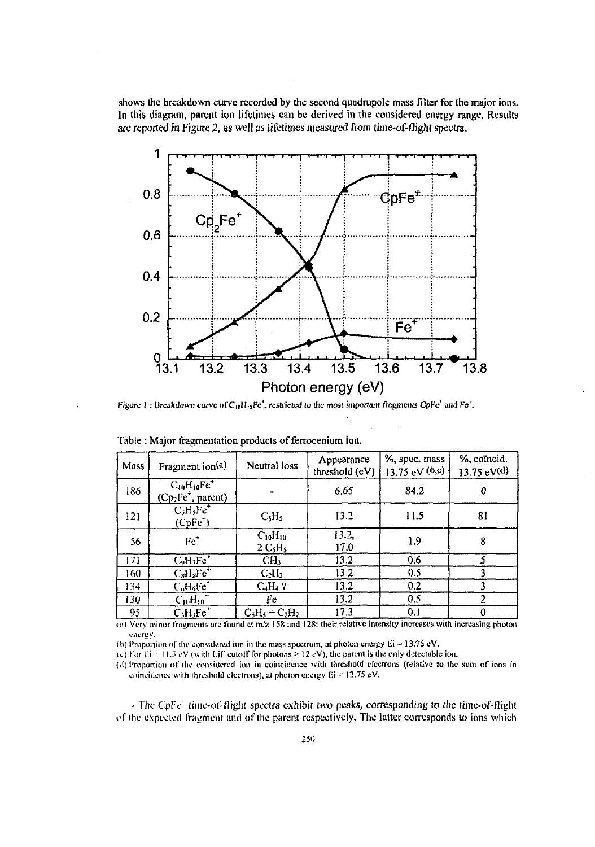shows the breakdown curve recorded by the second quadrupole mass filter for the major ions. In this diagram, parent ion lifetimes can be derived in the considered energy range. Results are reported in Figure 2, as well as lifetimes measured from lime-of-flight spectra.



Figure 1 : Breakdown curve of C<sub>10</sub>H<sub>i0</sub>Fe', restricted to the most important fragments CpFe' and Fe'.

| Mass | Fragment ion <sup>(a)</sup>                                                                                      | Neutral loss                                      | Appearance<br>threshold (eV) | %, spec. mass<br>$(3.75 \text{ eV}^{(b,c)})$ | %, coïncid.<br>$13.75 \text{ eV}$ <sup>(d)</sup> |
|------|------------------------------------------------------------------------------------------------------------------|---------------------------------------------------|------------------------------|----------------------------------------------|--------------------------------------------------|
| 186  | $C_{10}H_{10}Fe$ <sup>+</sup><br>(Cp <sub>2</sub> Fe <sup>x</sup> , parent)                                      |                                                   | 6.65                         | 84.2                                         |                                                  |
| 121  | $CiHiFe+$<br>$(CpFe+)$                                                                                           | C <sub>5</sub> H <sub>5</sub>                     | 13.2                         | 11.5                                         | 81                                               |
| 56   | $Fe+$                                                                                                            | $C_{10}H_{10}$<br>2 C <sub>s</sub> H <sub>s</sub> | 13.2,<br>17.0                | 1.9                                          | 8                                                |
| 171  | $C_9H_2Fe+$                                                                                                      | CH <sub>3</sub>                                   | 13.2                         | 0.6                                          |                                                  |
| 160  | $C_sH_sFc^+$                                                                                                     | $C_2H_2$                                          | 13.2                         | 0.5                                          |                                                  |
| 134  | $C_0H_0Fe^+$                                                                                                     | $C_4H_4$ ?                                        | 13.2                         | 0.2                                          |                                                  |
| 130  | $C_{10}H_{10}$                                                                                                   | Fe                                                | 13.2                         | 0.5                                          |                                                  |
| 95   | $C1H1Fe+$                                                                                                        | $C_3H_3 + C_2H_2$                                 | 17.3                         | 0.1                                          |                                                  |
|      | (a) Very minor fragments are found at m/z 158 and 128; their relative intensity increases with increasing photon |                                                   |                              |                                              |                                                  |

Table : Major fragmentation products of lerrocenium ion.

vm-rgv.

(b) Proportion of the considered ion in the mass spectrum, at photon energy  $Ei = 13.75$  eV.

(c) For Li  $-11.5$  cV (with LiF cutoff for photons  $\geq 12$  eV), the parent is the only detectable ion.

(d) Proportion of the considered ion in coincidence with threshold electrons (relative to the sum of ions in coincidence with threshold electrons), at photon energy  $Ei = 13.75$  eV.

- TIic CpFc (ituc-ol-flight spectra exhibit two peaks, corresponding *to* the time-ot-flight of the expected fragment and of the parent respectively. The latter corresponds to ions which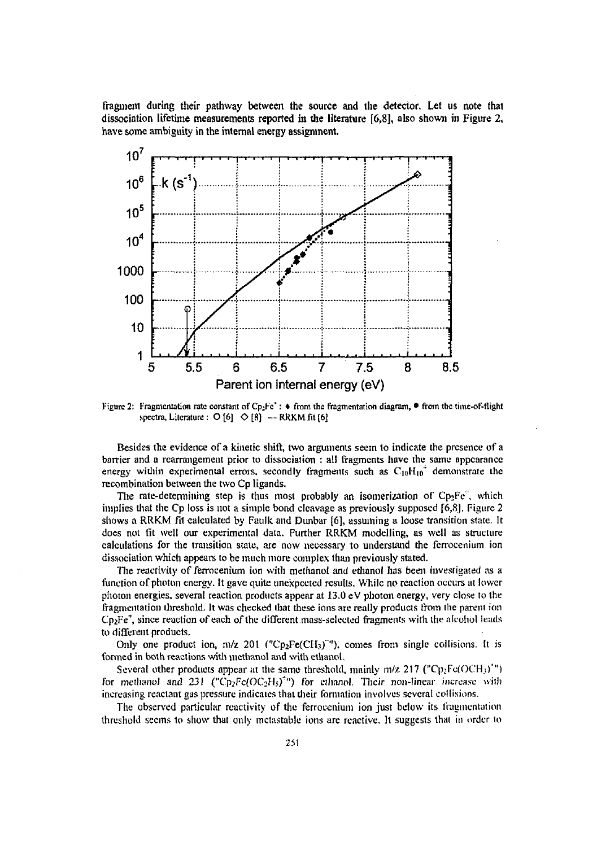fragment during their pathway between the source and the detector. Let us note that dissociation lifetime measurements reported in the literature [6,8], also shown in Figure 2, have some ambiguity in the internal energy assignment.



Figure 2: Fragmentation rate constant of Cp<sub>2</sub>Fe<sup>+</sup>:  $\bullet$  from the fragmentation diagram,  $\bullet$  from the time-of-flight spectra, Literature :  $O[6]$   $\Diamond$  [8] - RRKM fit [6]

Besides the evidence of a kinetic shift, two arguments seem to indicate the presence of a barrier and a rearrangement prior to dissociation : all fragments have the same appearance energy within experimental errors, secondly fragments such as  $C_{10}H_{10}^+$  demonstrate the recombination between the two Cp ligands.

The rate-determining step is thus most probably an isomerization of  $Cp_2Fe^+$ , which implies that the Cp loss is not a simple bond cleavage as previously supposed [6,8]. Figure 2 shows a RRKM fit calculated by Faulk and Dunbar [6], assuming a loose transition state. It does not fit well our experimental data. Further RRKM modelling, as well as structure calculations for the transition state, are now necessary to understand the fcrrocenium ion dissociation which appears to be much more complex than previously stated.

The reactivity of ferrocenium ion with methanol and ethanol has been investigated as a function of photon energy. It gave quite unexpected results. While no reaction occurs at lower photon energies, several reaction products appear at 13.0 eV photon energy, very close to the fragmaitation tlireshold. It was checked that these ions are really products from the parent ton  $Cp<sub>1</sub>Fe<sup>+</sup>$ , since reaction of each of the different mass-selected fragments with the alcohol leads to different products.

Only one product ion,  $m/z$  201 ("Cp<sub>2</sub>Fe(CH<sub>3</sub>)"'), comes from single collisions. It is formed in both reactions with methanol and with ethanol.

Several other products appear at the same threshold, mainly  $m/z$  217 ("Cp<sub>2</sub>Fe(OCH<sub>3</sub>)") for methanol and 231 ("Cp<sub>2</sub>Fe(OC<sub>2</sub>H<sub>2</sub>)<sup>+</sup>") for ethanol. Their non-linear increase with increasing reaclant gas pressure indicates that their formation involves several collisions.

The observed particular reactivity of the ferrocenium ion just below its fragmentation threshold seems to show that only mctastable ions arc reactive. It suggests that in order to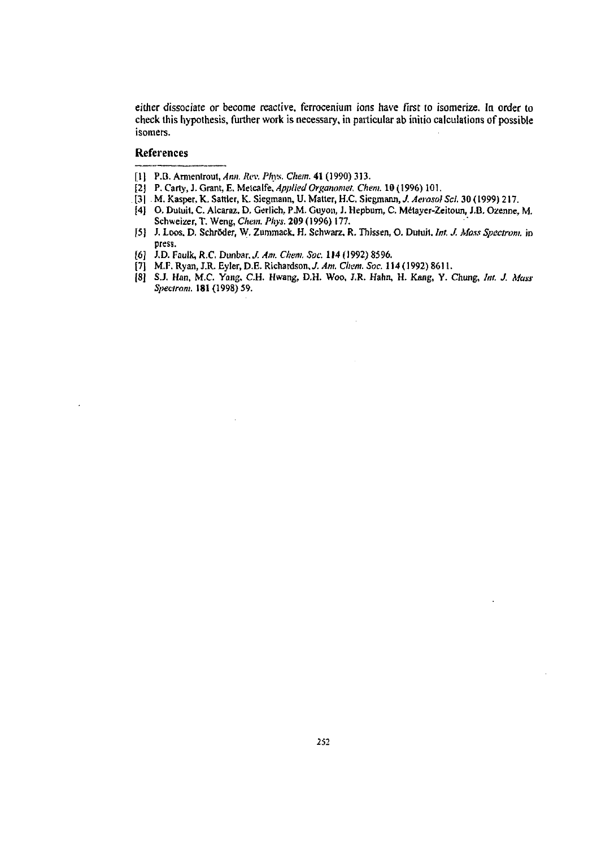either dissociate or become reactive, ferrocenium ions have first to isomerize. In order lo check this hypothesis, further work is necessary, in particular ab initio calculations of possible isomers.

## **References**

- [1] P.B. Armentrout, Ann. Rev. Phys. Chem. 41 (1990) 313.
- [2] P. Carty, J. Grant, E. Metcalfe, *Applied Organomet. Chem.* 10 (1996) 101.
- . [31 M. Kasper, K. Sattler, K. Siegmann, U. Matter, H.C. Siegmann, *J. Aerosol Sei.* 30 (1999) 217.
- |4] O. Dutuii. C. Alcaraz. D. Gerlich. P*M.* Guyon, *1.* Hepburn, C. Metayer-Zeitoun, J.B. Ozenne, M. Schweizer, T. Weng, *Chan. Phys.* **209** (1996) 177.
- 15) J. Loos. D. Schröder, W. Zuramack, H. Schwarz. R. Thissen, O. **Dutuii.** *Int. J. Moss Spectrom.* in press.
- 
- [6] J.D. Faulk, R.C. Dunbar. *J. Am. Chem. Sot:* 114 (1992) 8596. [7] M.F.Ryan,J.R.Eyler,D.E.Richaidson,././Im. *Chan.Soc.* 114(1992)8611.
- [8] S.J. Han, M.C. Yang, C.H. Hwang, D.H. Woo, J.R. Hahn, H. Kang, Y. Chung, *Int. J. Mass*<br>*Spectrom.* 181 (1998) 59.